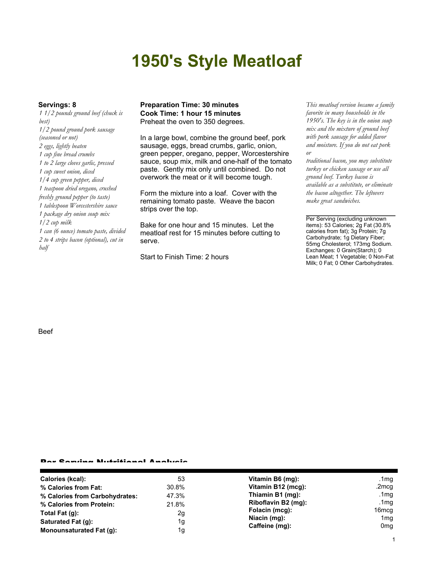# **1950's Style Meatloaf**

*1 1/2 pounds ground beef (chuck is best) 1/2 pound ground pork sausage (seasoned or not) 2 eggs, lightly beaten 1 cup fine bread crumbs 1 to 2 large cloves garlic, pressed 1 cup sweet onion, diced 1/4 cup green pepper, diced 1 teaspoon dried oregano, crushed freshly ground pepper (to taste) 1 tablespoon Worcestershire sauce 1 package dry onion soup mix 1/2 cup milk 1 can (6 ounce) tomato paste, divided 2 to 4 strips bacon (optional), cut in half*

#### **Servings: 8 Preparation Time: 30 minutes** *This meatloaf version became a family* **Cook Time: 1 hour 15 minutes** Preheat the oven to 350 degrees.

In a large bowl, combine the ground beef, pork sausage, eggs, bread crumbs, garlic, onion, green pepper, oregano, pepper, Worcestershire sauce, soup mix, milk and one-half of the tomato paste. Gently mix only until combined. Do not overwork the meat or it will become tough.

Form the mixture into a loaf. Cover with the remaining tomato paste. Weave the bacon strips over the top.

Bake for one hour and 15 minutes. Let the meatloaf rest for 15 minutes before cutting to serve.

Start to Finish Time: 2 hours

*favorite in many households in the 1950's. The key is in the onion soup mix and the mixture of ground beef with pork sausage for added flavor and moisture. If you do not eat pork or*

*traditional bacon, you may substitute turkey or chicken sausage or use all ground beef. Turkey bacon is available as a substitute, or eliminate the bacon altogether. The leftovers make great sandwiches.*

Per Serving (excluding unknown items): 53 Calories; 2g Fat (30.8% calories from fat); 3g Protein; 7g Carbohydrate; 1g Dietary Fiber; 55mg Cholesterol; 173mg Sodium. Exchanges: 0 Grain(Starch); 0 Lean Meat; 1 Vegetable; 0 Non-Fat Milk; 0 Fat; 0 Other Carbohydrates.

#### Beef

#### Per Serving Nutritional Analysis

| Calories (kcal):               | 53    | Vitamin B6 (mg):               | .1mg            |
|--------------------------------|-------|--------------------------------|-----------------|
| % Calories from Fat:           | 30.8% | Vitamin B12 (mcg):             | .2mcg           |
| % Calories from Carbohydrates: | 47.3% | Thiamin B1 (mg):               | .1 $mg$         |
| % Calories from Protein:       | 21.8% | Riboflavin B2 (mg):            | .1 $mg$         |
| Total Fat $(q)$ :              | 2g    | Folacin (mcg):                 | 16mcg           |
| Saturated Fat (q):             | 1g    | Niacin (mg):<br>Caffeine (mg): | 1 <sub>mg</sub> |
| Monounsaturated Fat (q):       |       |                                | 0 <sub>mg</sub> |
|                                | 1g    |                                |                 |